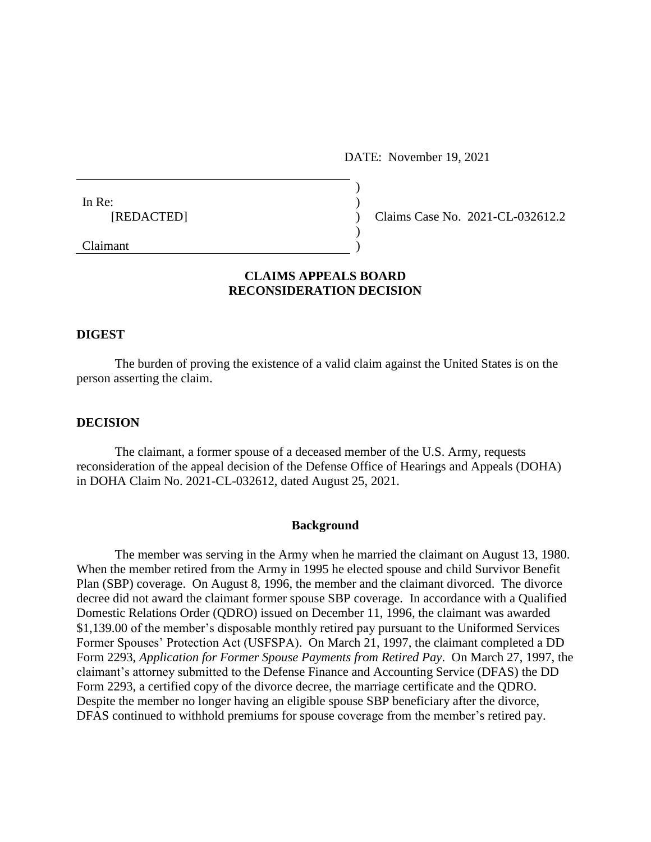DATE: November 19, 2021

| In Re:        |  |
|---------------|--|
| [REDACTED]    |  |
|               |  |
| $C1$ and $C1$ |  |

Claims Case No. 2021-CL-032612.2

Claimant )

# **CLAIMS APPEALS BOARD RECONSIDERATION DECISION**

### **DIGEST**

The burden of proving the existence of a valid claim against the United States is on the person asserting the claim.

#### **DECISION**

The claimant, a former spouse of a deceased member of the U.S. Army, requests reconsideration of the appeal decision of the Defense Office of Hearings and Appeals (DOHA) in DOHA Claim No. 2021-CL-032612, dated August 25, 2021.

#### **Background**

The member was serving in the Army when he married the claimant on August 13, 1980. When the member retired from the Army in 1995 he elected spouse and child Survivor Benefit Plan (SBP) coverage. On August 8, 1996, the member and the claimant divorced. The divorce decree did not award the claimant former spouse SBP coverage. In accordance with a Qualified Domestic Relations Order (QDRO) issued on December 11, 1996, the claimant was awarded \$1,139.00 of the member's disposable monthly retired pay pursuant to the Uniformed Services Former Spouses' Protection Act (USFSPA). On March 21, 1997, the claimant completed a DD Form 2293, *Application for Former Spouse Payments from Retired Pay*. On March 27, 1997, the claimant's attorney submitted to the Defense Finance and Accounting Service (DFAS) the DD Form 2293, a certified copy of the divorce decree, the marriage certificate and the QDRO. Despite the member no longer having an eligible spouse SBP beneficiary after the divorce, DFAS continued to withhold premiums for spouse coverage from the member's retired pay.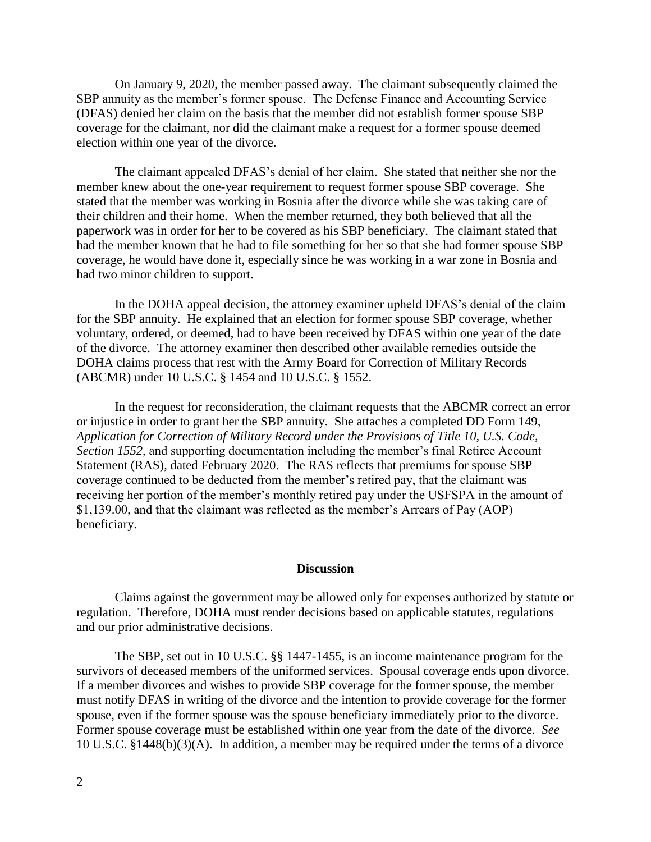On January 9, 2020, the member passed away. The claimant subsequently claimed the SBP annuity as the member's former spouse. The Defense Finance and Accounting Service (DFAS) denied her claim on the basis that the member did not establish former spouse SBP coverage for the claimant, nor did the claimant make a request for a former spouse deemed election within one year of the divorce.

The claimant appealed DFAS's denial of her claim. She stated that neither she nor the member knew about the one-year requirement to request former spouse SBP coverage. She stated that the member was working in Bosnia after the divorce while she was taking care of their children and their home. When the member returned, they both believed that all the paperwork was in order for her to be covered as his SBP beneficiary. The claimant stated that had the member known that he had to file something for her so that she had former spouse SBP coverage, he would have done it, especially since he was working in a war zone in Bosnia and had two minor children to support.

In the DOHA appeal decision, the attorney examiner upheld DFAS's denial of the claim for the SBP annuity. He explained that an election for former spouse SBP coverage, whether voluntary, ordered, or deemed, had to have been received by DFAS within one year of the date of the divorce. The attorney examiner then described other available remedies outside the DOHA claims process that rest with the Army Board for Correction of Military Records (ABCMR) under 10 U.S.C. § 1454 and 10 U.S.C. § 1552.

In the request for reconsideration, the claimant requests that the ABCMR correct an error or injustice in order to grant her the SBP annuity. She attaches a completed DD Form 149, *Application for Correction of Military Record under the Provisions of Title 10, U.S. Code, Section 1552*, and supporting documentation including the member's final Retiree Account Statement (RAS), dated February 2020. The RAS reflects that premiums for spouse SBP coverage continued to be deducted from the member's retired pay, that the claimant was receiving her portion of the member's monthly retired pay under the USFSPA in the amount of \$1,139.00, and that the claimant was reflected as the member's Arrears of Pay (AOP) beneficiary.

### **Discussion**

Claims against the government may be allowed only for expenses authorized by statute or regulation. Therefore, DOHA must render decisions based on applicable statutes, regulations and our prior administrative decisions.

The SBP, set out in 10 U.S.C. §§ 1447-1455, is an income maintenance program for the survivors of deceased members of the uniformed services. Spousal coverage ends upon divorce. If a member divorces and wishes to provide SBP coverage for the former spouse, the member must notify DFAS in writing of the divorce and the intention to provide coverage for the former spouse, even if the former spouse was the spouse beneficiary immediately prior to the divorce. Former spouse coverage must be established within one year from the date of the divorce. *See*  10 U.S.C. §1448(b)(3)(A). In addition, a member may be required under the terms of a divorce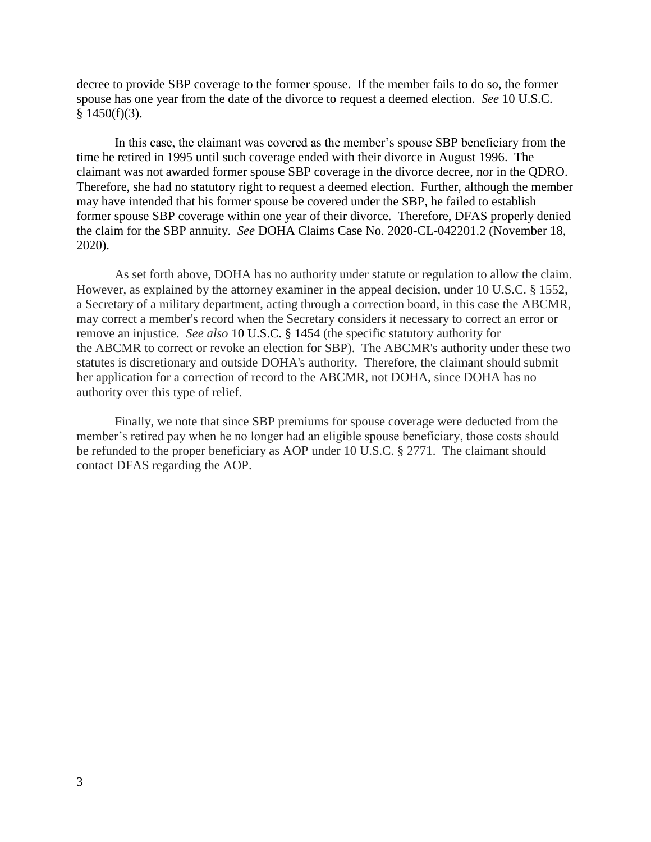decree to provide SBP coverage to the former spouse. If the member fails to do so, the former spouse has one year from the date of the divorce to request a deemed election. *See* 10 U.S.C.  $§$  1450(f)(3).

In this case, the claimant was covered as the member's spouse SBP beneficiary from the time he retired in 1995 until such coverage ended with their divorce in August 1996. The claimant was not awarded former spouse SBP coverage in the divorce decree, nor in the QDRO. Therefore, she had no statutory right to request a deemed election. Further, although the member may have intended that his former spouse be covered under the SBP, he failed to establish former spouse SBP coverage within one year of their divorce. Therefore, DFAS properly denied the claim for the SBP annuity. *See* DOHA Claims Case No. 2020-CL-042201.2 (November 18, 2020).

As set forth above, DOHA has no authority under statute or regulation to allow the claim. However, as explained by the attorney examiner in the appeal decision, under 10 U.S.C. § 1552, a Secretary of a military department, acting through a correction board, in this case the ABCMR, may correct a member's record when the Secretary considers it necessary to correct an error or remove an injustice. *See also* [10 U.S.C. § 1454](https://1.next.westlaw.com/Link/Document/FullText?findType=L&pubNum=1000546&cite=10USCAS1454&originatingDoc=I67a7090ebf8411ebbea4f0dc9fb69570&refType=LQ&originationContext=document&transitionType=DocumentItem&ppcid=4b13a7c86e7b4f378e201be114f477f5&contextData=(sc.Search)) (the specific statutory authority for the ABCMR to correct or revoke an election for SBP). The ABCMR's authority under these two statutes is discretionary and outside DOHA's authority. Therefore, the claimant should submit her application for a correction of record to the ABCMR, not DOHA, since DOHA has no authority over this type of relief.

Finally, we note that since SBP premiums for spouse coverage were deducted from the member's retired pay when he no longer had an eligible spouse beneficiary, those costs should be refunded to the proper beneficiary as AOP under 10 U.S.C. § 2771. The claimant should contact DFAS regarding the AOP.